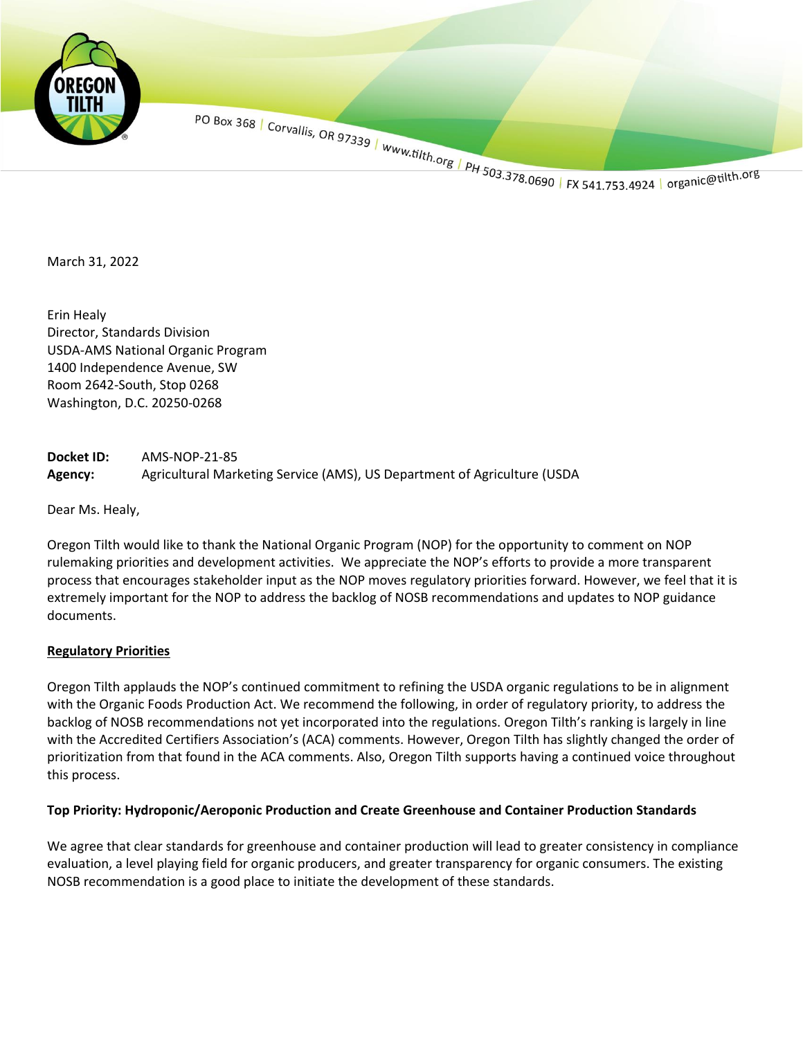

March 31, 2022

Erin Healy Director, Standards Division USDA-AMS National Organic Program 1400 Independence Avenue, SW Room 2642-South, Stop 0268 Washington, D.C. 20250-0268

**Docket ID:** AMS-NOP-21-85 **Agency:** Agricultural Marketing Service (AMS), US Department of Agriculture (USDA

Dear Ms. Healy,

Oregon Tilth would like to thank the National Organic Program (NOP) for the opportunity to comment on NOP rulemaking priorities and development activities. We appreciate the NOP's efforts to provide a more transparent process that encourages stakeholder input as the NOP moves regulatory priorities forward. However, we feel that it is extremely important for the NOP to address the backlog of NOSB recommendations and updates to NOP guidance documents.

#### **Regulatory Priorities**

Oregon Tilth applauds the NOP's continued commitment to refining the USDA organic regulations to be in alignment with the Organic Foods Production Act. We recommend the following, in order of regulatory priority, to address the backlog of NOSB recommendations not yet incorporated into the regulations. Oregon Tilth's ranking is largely in line with the Accredited Certifiers Association's (ACA) comments. However, Oregon Tilth has slightly changed the order of prioritization from that found in the ACA comments. Also, Oregon Tilth supports having a continued voice throughout this process.

#### **Top Priority: Hydroponic/Aeroponic Production and Create Greenhouse and Container Production Standards**

We agree that clear standards for greenhouse and container production will lead to greater consistency in compliance evaluation, a level playing field for organic producers, and greater transparency for organic consumers. The existing NOSB recommendation is a good place to initiate the development of these standards.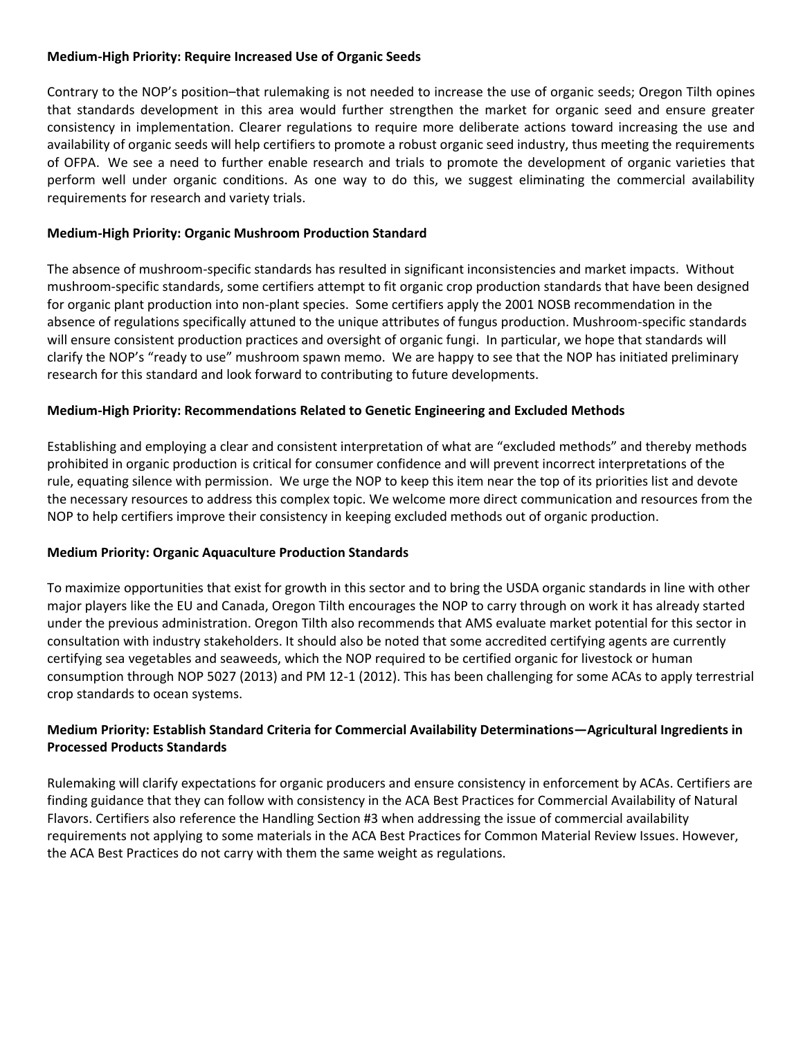## **Medium-High Priority: Require Increased Use of Organic Seeds**

Contrary to the NOP's position–that rulemaking is not needed to increase the use of organic seeds; Oregon Tilth opines that standards development in this area would further strengthen the market for organic seed and ensure greater consistency in implementation. Clearer regulations to require more deliberate actions toward increasing the use and availability of organic seeds will help certifiers to promote a robust organic seed industry, thus meeting the requirements of OFPA. We see a need to further enable research and trials to promote the development of organic varieties that perform well under organic conditions. As one way to do this, we suggest eliminating the commercial availability requirements for research and variety trials.

# **Medium-High Priority: Organic Mushroom Production Standard**

The absence of mushroom-specific standards has resulted in significant inconsistencies and market impacts. Without mushroom-specific standards, some certifiers attempt to fit organic crop production standards that have been designed for organic plant production into non-plant species. Some certifiers apply the 2001 NOSB recommendation in the absence of regulations specifically attuned to the unique attributes of fungus production. Mushroom-specific standards will ensure consistent production practices and oversight of organic fungi. In particular, we hope that standards will clarify the NOP's "ready to use" mushroom spawn memo. We are happy to see that the NOP has initiated preliminary research for this standard and look forward to contributing to future developments.

# **Medium-High Priority: Recommendations Related to Genetic Engineering and Excluded Methods**

Establishing and employing a clear and consistent interpretation of what are "excluded methods" and thereby methods prohibited in organic production is critical for consumer confidence and will prevent incorrect interpretations of the rule, equating silence with permission. We urge the NOP to keep this item near the top of its priorities list and devote the necessary resources to address this complex topic. We welcome more direct communication and resources from the NOP to help certifiers improve their consistency in keeping excluded methods out of organic production.

### **Medium Priority: Organic Aquaculture Production Standards**

To maximize opportunities that exist for growth in this sector and to bring the USDA organic standards in line with other major players like the EU and Canada, Oregon Tilth encourages the NOP to carry through on work it has already started under the previous administration. Oregon Tilth also recommends that AMS evaluate market potential for this sector in consultation with industry stakeholders. It should also be noted that some accredited certifying agents are currently certifying sea vegetables and seaweeds, which the NOP required to be certified organic for livestock or human consumption through NOP 5027 (2013) and PM 12-1 (2012). This has been challenging for some ACAs to apply terrestrial crop standards to ocean systems.

# **Medium Priority: Establish Standard Criteria for Commercial Availability Determinations—Agricultural Ingredients in Processed Products Standards**

Rulemaking will clarify expectations for organic producers and ensure consistency in enforcement by ACAs. Certifiers are finding guidance that they can follow with consistency in the [ACA Best Practices for Commercial Availability of Natural](https://www.accreditedcertifiers.org/wp-content/uploads/2020/11/ACA-Best-Practices-for-Commercial-Availability-of-Natural-Flavors-11.2020.pdf)  [Flavors.](https://www.accreditedcertifiers.org/wp-content/uploads/2020/11/ACA-Best-Practices-for-Commercial-Availability-of-Natural-Flavors-11.2020.pdf) Certifiers also reference the Handling Section #3 when addressing the issue of commercial availability requirements not applying to some materials in the [ACA Best Practices for Common Material Review Issues.](https://www.accreditedcertifiers.org/wp-content/uploads/2022/01/ACA-Best-Practices-for-Common-Material-Review-Issues-V4-01.2022.pdf) However, the ACA Best Practices do not carry with them the same weight as regulations.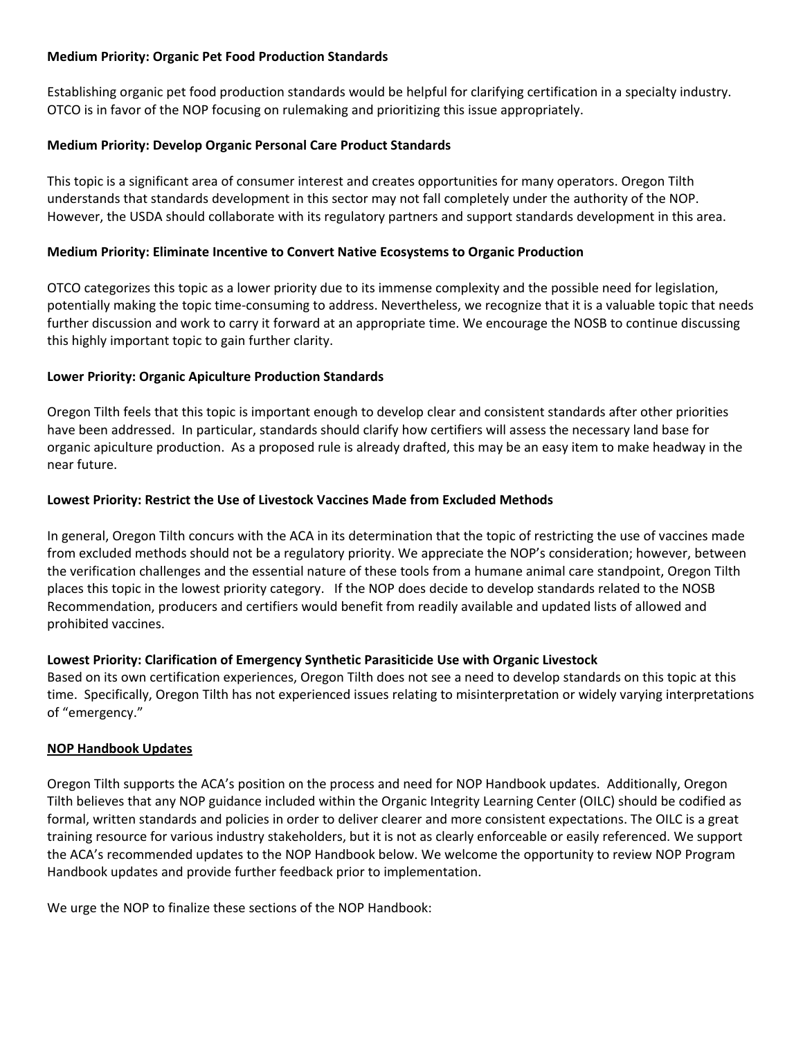## **Medium Priority: Organic Pet Food Production Standards**

Establishing organic pet food production standards would be helpful for clarifying certification in a specialty industry. OTCO is in favor of the NOP focusing on rulemaking and prioritizing this issue appropriately.

# **Medium Priority: Develop Organic Personal Care Product Standards**

This topic is a significant area of consumer interest and creates opportunities for many operators. Oregon Tilth understands that standards development in this sector may not fall completely under the authority of the NOP. However, the USDA should collaborate with its regulatory partners and support standards development in this area.

# **Medium Priority: Eliminate Incentive to Convert Native Ecosystems to Organic Production**

OTCO categorizes this topic as a lower priority due to its immense complexity and the possible need for legislation, potentially making the topic time-consuming to address. Nevertheless, we recognize that it is a valuable topic that needs further discussion and work to carry it forward at an appropriate time. We encourage the NOSB to continue discussing this highly important topic to gain further clarity.

# **Lower Priority: Organic Apiculture Production Standards**

Oregon Tilth feels that this topic is important enough to develop clear and consistent standards after other priorities have been addressed. In particular, standards should clarify how certifiers will assess the necessary land base for organic apiculture production. As a proposed rule is already drafted, this may be an easy item to make headway in the near future.

### **Lowest Priority: Restrict the Use of Livestock Vaccines Made from Excluded Methods**

In general, Oregon Tilth concurs with the ACA in its determination that the topic of restricting the use of vaccines made from excluded methods should not be a regulatory priority. We appreciate the NOP's consideration; however, between the verification challenges and the essential nature of these tools from a humane animal care standpoint, Oregon Tilth places this topic in the lowest priority category. If the NOP does decide to develop standards related to the NOSB Recommendation, producers and certifiers would benefit from readily available and updated lists of allowed and prohibited vaccines.

### **Lowest Priority: Clarification of Emergency Synthetic Parasiticide Use with Organic Livestock**

Based on its own certification experiences, Oregon Tilth does not see a need to develop standards on this topic at this time. Specifically, Oregon Tilth has not experienced issues relating to misinterpretation or widely varying interpretations of "emergency."

### **NOP Handbook Updates**

Oregon Tilth supports the ACA's position on the process and need for NOP Handbook updates. Additionally, Oregon Tilth believes that any NOP guidance included within the Organic Integrity Learning Center (OILC) should be codified as formal, written standards and policies in order to deliver clearer and more consistent expectations. The OILC is a great training resource for various industry stakeholders, but it is not as clearly enforceable or easily referenced. We support the ACA's recommended updates to the NOP Handbook below. We welcome the opportunity to review NOP Program Handbook updates and provide further feedback prior to implementation.

We urge the NOP to finalize these sections of the NOP Handbook: